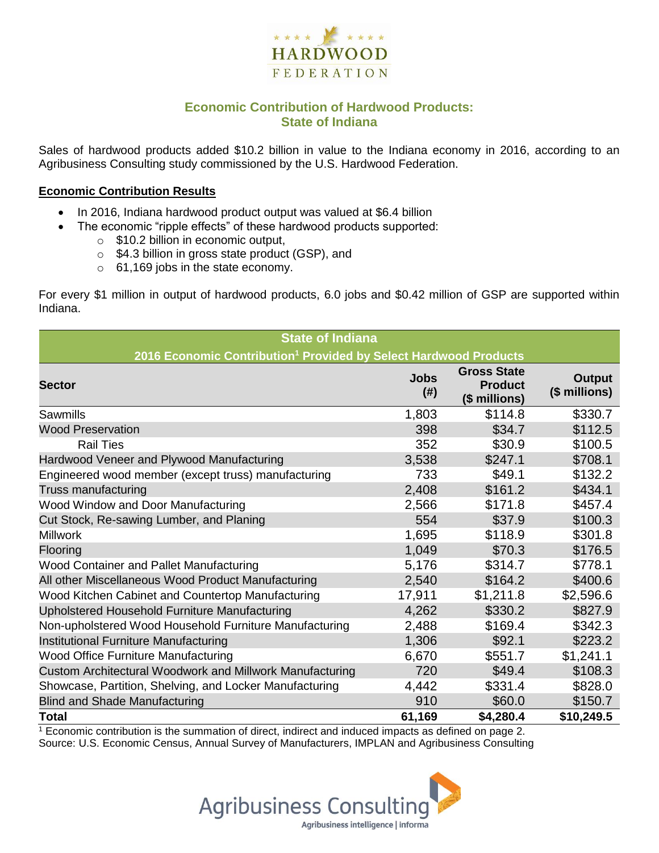

## **Economic Contribution of Hardwood Products: State of Indiana**

Sales of hardwood products added \$10.2 billion in value to the Indiana economy in 2016, according to an Agribusiness Consulting study commissioned by the U.S. Hardwood Federation.

#### **Economic Contribution Results**

- In 2016, Indiana hardwood product output was valued at \$6.4 billion
	- The economic "ripple effects" of these hardwood products supported:
		- o \$10.2 billion in economic output,
		- o \$4.3 billion in gross state product (GSP), and
		- o 61,169 jobs in the state economy.

For every \$1 million in output of hardwood products, 6.0 jobs and \$0.42 million of GSP are supported within Indiana.

| <b>State of Indiana</b>                                                      |                     |                                                       |                                |  |  |  |  |
|------------------------------------------------------------------------------|---------------------|-------------------------------------------------------|--------------------------------|--|--|--|--|
| 2016 Economic Contribution <sup>1</sup> Provided by Select Hardwood Products |                     |                                                       |                                |  |  |  |  |
| <b>Sector</b>                                                                | <b>Jobs</b><br>(# ) | <b>Gross State</b><br><b>Product</b><br>(\$ millions) | <b>Output</b><br>(\$ millions) |  |  |  |  |
| Sawmills                                                                     | 1,803               | \$114.8                                               | \$330.7                        |  |  |  |  |
| <b>Wood Preservation</b>                                                     | 398                 | \$34.7                                                | \$112.5                        |  |  |  |  |
| <b>Rail Ties</b>                                                             | 352                 | \$30.9                                                | \$100.5                        |  |  |  |  |
| Hardwood Veneer and Plywood Manufacturing                                    | 3,538               | \$247.1                                               | \$708.1                        |  |  |  |  |
| Engineered wood member (except truss) manufacturing                          | 733                 | \$49.1                                                | \$132.2                        |  |  |  |  |
| Truss manufacturing                                                          | 2,408               | \$161.2                                               | \$434.1                        |  |  |  |  |
| Wood Window and Door Manufacturing                                           | 2,566               | \$171.8                                               | \$457.4                        |  |  |  |  |
| Cut Stock, Re-sawing Lumber, and Planing                                     | 554                 | \$37.9                                                | \$100.3                        |  |  |  |  |
| <b>Millwork</b>                                                              | 1,695               | \$118.9                                               | \$301.8                        |  |  |  |  |
| Flooring                                                                     | 1,049               | \$70.3                                                | \$176.5                        |  |  |  |  |
| Wood Container and Pallet Manufacturing                                      | 5,176               | \$314.7                                               | \$778.1                        |  |  |  |  |
| All other Miscellaneous Wood Product Manufacturing                           | 2,540               | \$164.2                                               | \$400.6                        |  |  |  |  |
| Wood Kitchen Cabinet and Countertop Manufacturing                            | 17,911              | \$1,211.8                                             | \$2,596.6                      |  |  |  |  |
| Upholstered Household Furniture Manufacturing                                | 4,262               | \$330.2                                               | \$827.9                        |  |  |  |  |
| Non-upholstered Wood Household Furniture Manufacturing                       | 2,488               | \$169.4                                               | \$342.3                        |  |  |  |  |
| Institutional Furniture Manufacturing                                        | 1,306               | \$92.1                                                | \$223.2                        |  |  |  |  |
| Wood Office Furniture Manufacturing                                          | 6,670               | \$551.7                                               | \$1,241.1                      |  |  |  |  |
| Custom Architectural Woodwork and Millwork Manufacturing                     | 720                 | \$49.4                                                | \$108.3                        |  |  |  |  |
| Showcase, Partition, Shelving, and Locker Manufacturing                      | 4,442               | \$331.4                                               | \$828.0                        |  |  |  |  |
| <b>Blind and Shade Manufacturing</b>                                         | 910                 | \$60.0                                                | \$150.7                        |  |  |  |  |
| <b>Total</b>                                                                 | 61,169              | \$4,280.4                                             | \$10,249.5                     |  |  |  |  |

<sup>1</sup> Economic contribution is the summation of direct, indirect and induced impacts as defined on page 2. Source: U.S. Economic Census, Annual Survey of Manufacturers, IMPLAN and Agribusiness Consulting